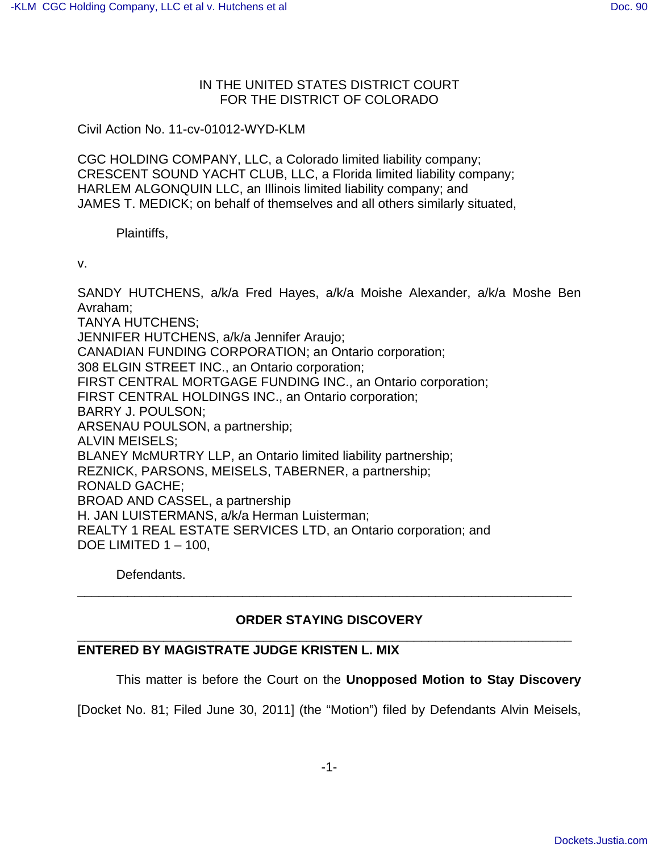## IN THE UNITED STATES DISTRICT COURT FOR THE DISTRICT OF COLORADO

Civil Action No. 11-cv-01012-WYD-KLM

CGC HOLDING COMPANY, LLC, a Colorado limited liability company; CRESCENT SOUND YACHT CLUB, LLC, a Florida limited liability company; HARLEM ALGONQUIN LLC, an Illinois limited liability company; and JAMES T. MEDICK; on behalf of themselves and all others similarly situated,

Plaintiffs,

v.

SANDY HUTCHENS, a/k/a Fred Hayes, a/k/a Moishe Alexander, a/k/a Moshe Ben Avraham; TANYA HUTCHENS; JENNIFER HUTCHENS, a/k/a Jennifer Araujo; CANADIAN FUNDING CORPORATION; an Ontario corporation; 308 ELGIN STREET INC., an Ontario corporation; FIRST CENTRAL MORTGAGE FUNDING INC., an Ontario corporation; FIRST CENTRAL HOLDINGS INC., an Ontario corporation; BARRY J. POULSON; ARSENAU POULSON, a partnership; ALVIN MEISELS; BLANEY McMURTRY LLP, an Ontario limited liability partnership; REZNICK, PARSONS, MEISELS, TABERNER, a partnership; RONALD GACHE; BROAD AND CASSEL, a partnership H. JAN LUISTERMANS, a/k/a Herman Luisterman; REALTY 1 REAL ESTATE SERVICES LTD, an Ontario corporation; and DOE LIMITED 1 – 100,

Defendants.

## **ORDER STAYING DISCOVERY** \_\_\_\_\_\_\_\_\_\_\_\_\_\_\_\_\_\_\_\_\_\_\_\_\_\_\_\_\_\_\_\_\_\_\_\_\_\_\_\_\_\_\_\_\_\_\_\_\_\_\_\_\_\_\_\_\_\_\_\_\_\_\_\_\_\_\_\_\_

\_\_\_\_\_\_\_\_\_\_\_\_\_\_\_\_\_\_\_\_\_\_\_\_\_\_\_\_\_\_\_\_\_\_\_\_\_\_\_\_\_\_\_\_\_\_\_\_\_\_\_\_\_\_\_\_\_\_\_\_\_\_\_\_\_\_\_\_\_

## **ENTERED BY MAGISTRATE JUDGE KRISTEN L. MIX**

This matter is before the Court on the **Unopposed Motion to Stay Discovery**

[Docket No. 81; Filed June 30, 2011] (the "Motion") filed by Defendants Alvin Meisels,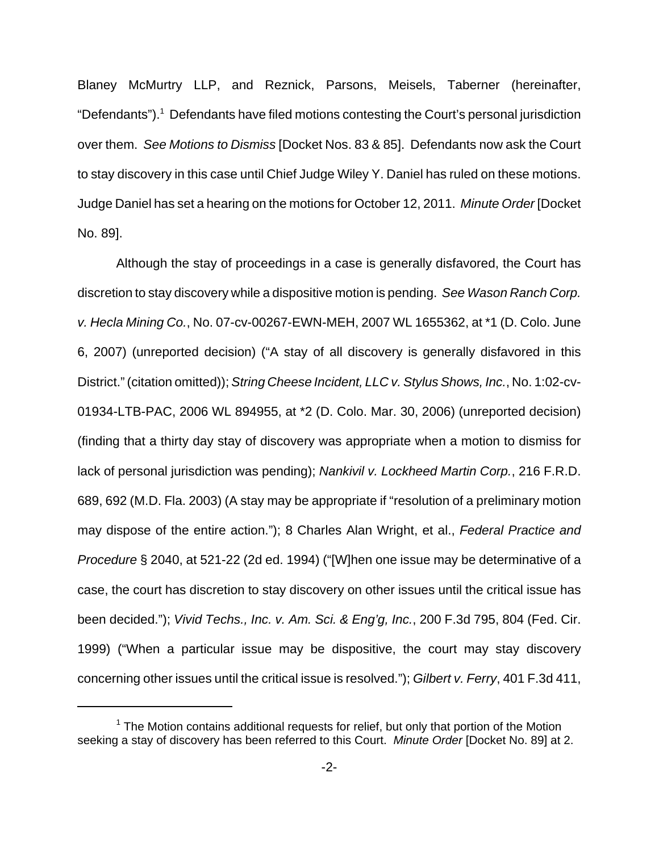Blaney McMurtry LLP, and Reznick, Parsons, Meisels, Taberner (hereinafter, "Defendants").<sup>1</sup> Defendants have filed motions contesting the Court's personal jurisdiction over them. See Motions to Dismiss [Docket Nos. 83 & 85]. Defendants now ask the Court to stay discovery in this case until Chief Judge Wiley Y. Daniel has ruled on these motions. Judge Daniel has set a hearing on the motions for October 12, 2011. Minute Order [Docket No. 89].

Although the stay of proceedings in a case is generally disfavored, the Court has discretion to stay discovery while a dispositive motion is pending. See Wason Ranch Corp. v. Hecla Mining Co., No. 07-cv-00267-EWN-MEH, 2007 WL 1655362, at \*1 (D. Colo. June 6, 2007) (unreported decision) ("A stay of all discovery is generally disfavored in this District." (citation omitted)); String Cheese Incident, LLC v. Stylus Shows, Inc., No. 1:02-cv-01934-LTB-PAC, 2006 WL 894955, at \*2 (D. Colo. Mar. 30, 2006) (unreported decision) (finding that a thirty day stay of discovery was appropriate when a motion to dismiss for lack of personal jurisdiction was pending); Nankivil v. Lockheed Martin Corp., 216 F.R.D. 689, 692 (M.D. Fla. 2003) (A stay may be appropriate if "resolution of a preliminary motion may dispose of the entire action."); 8 Charles Alan Wright, et al., Federal Practice and Procedure § 2040, at 521-22 (2d ed. 1994) ("[W]hen one issue may be determinative of a case, the court has discretion to stay discovery on other issues until the critical issue has been decided."); Vivid Techs., Inc. v. Am. Sci. & Eng'g, Inc., 200 F.3d 795, 804 (Fed. Cir. 1999) ("When a particular issue may be dispositive, the court may stay discovery concerning other issues until the critical issue is resolved."); Gilbert v. Ferry, 401 F.3d 411,

<sup>&</sup>lt;sup>1</sup> The Motion contains additional requests for relief, but only that portion of the Motion seeking a stay of discovery has been referred to this Court. Minute Order [Docket No. 89] at 2.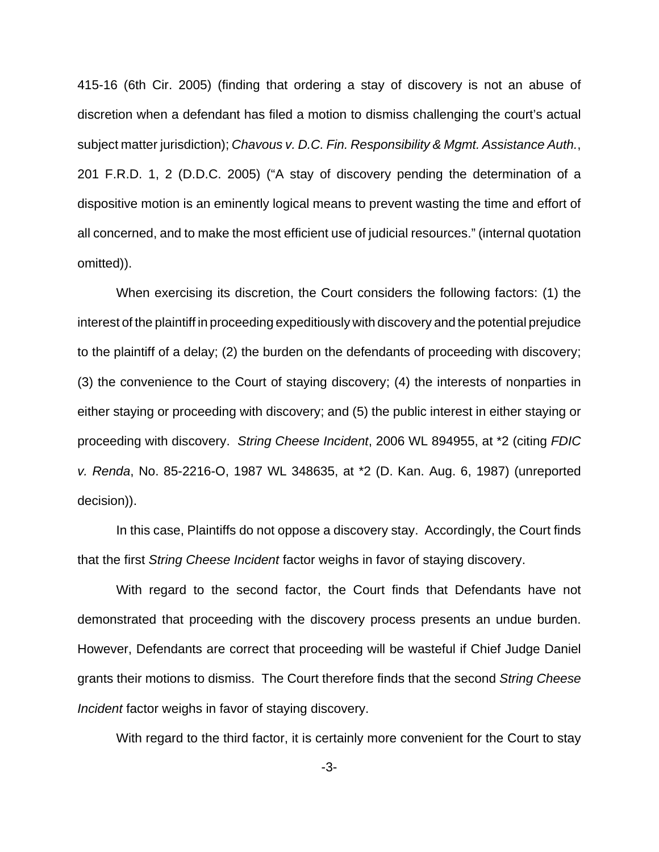415-16 (6th Cir. 2005) (finding that ordering a stay of discovery is not an abuse of discretion when a defendant has filed a motion to dismiss challenging the court's actual subject matter jurisdiction); Chavous v. D.C. Fin. Responsibility & Mgmt. Assistance Auth., 201 F.R.D. 1, 2 (D.D.C. 2005) ("A stay of discovery pending the determination of a dispositive motion is an eminently logical means to prevent wasting the time and effort of all concerned, and to make the most efficient use of judicial resources." (internal quotation omitted)).

When exercising its discretion, the Court considers the following factors: (1) the interest of the plaintiff in proceeding expeditiously with discovery and the potential prejudice to the plaintiff of a delay; (2) the burden on the defendants of proceeding with discovery; (3) the convenience to the Court of staying discovery; (4) the interests of nonparties in either staying or proceeding with discovery; and (5) the public interest in either staying or proceeding with discovery. String Cheese Incident, 2006 WL 894955, at \*2 (citing FDIC v. Renda, No. 85-2216-O, 1987 WL 348635, at \*2 (D. Kan. Aug. 6, 1987) (unreported decision)).

In this case, Plaintiffs do not oppose a discovery stay. Accordingly, the Court finds that the first String Cheese Incident factor weighs in favor of staying discovery.

With regard to the second factor, the Court finds that Defendants have not demonstrated that proceeding with the discovery process presents an undue burden. However, Defendants are correct that proceeding will be wasteful if Chief Judge Daniel grants their motions to dismiss. The Court therefore finds that the second String Cheese Incident factor weighs in favor of staying discovery.

With regard to the third factor, it is certainly more convenient for the Court to stay

-3-